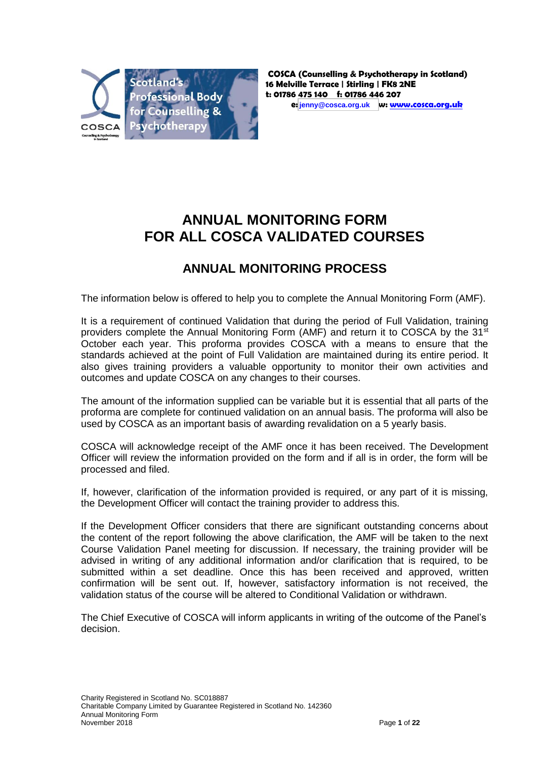

# **ANNUAL MONITORING FORM FOR ALL COSCA VALIDATED COURSES**

## **ANNUAL MONITORING PROCESS**

The information below is offered to help you to complete the Annual Monitoring Form (AMF).

It is a requirement of continued Validation that during the period of Full Validation, training providers complete the Annual Monitoring Form (AMF) and return it to COSCA by the 31<sup>st</sup> October each year. This proforma provides COSCA with a means to ensure that the standards achieved at the point of Full Validation are maintained during its entire period. It also gives training providers a valuable opportunity to monitor their own activities and outcomes and update COSCA on any changes to their courses.

The amount of the information supplied can be variable but it is essential that all parts of the proforma are complete for continued validation on an annual basis. The proforma will also be used by COSCA as an important basis of awarding revalidation on a 5 yearly basis.

COSCA will acknowledge receipt of the AMF once it has been received. The Development Officer will review the information provided on the form and if all is in order, the form will be processed and filed.

If, however, clarification of the information provided is required, or any part of it is missing, the Development Officer will contact the training provider to address this.

If the Development Officer considers that there are significant outstanding concerns about the content of the report following the above clarification, the AMF will be taken to the next Course Validation Panel meeting for discussion. If necessary, the training provider will be advised in writing of any additional information and/or clarification that is required, to be submitted within a set deadline. Once this has been received and approved, written confirmation will be sent out. If, however, satisfactory information is not received, the validation status of the course will be altered to Conditional Validation or withdrawn.

The Chief Executive of COSCA will inform applicants in writing of the outcome of the Panel's decision.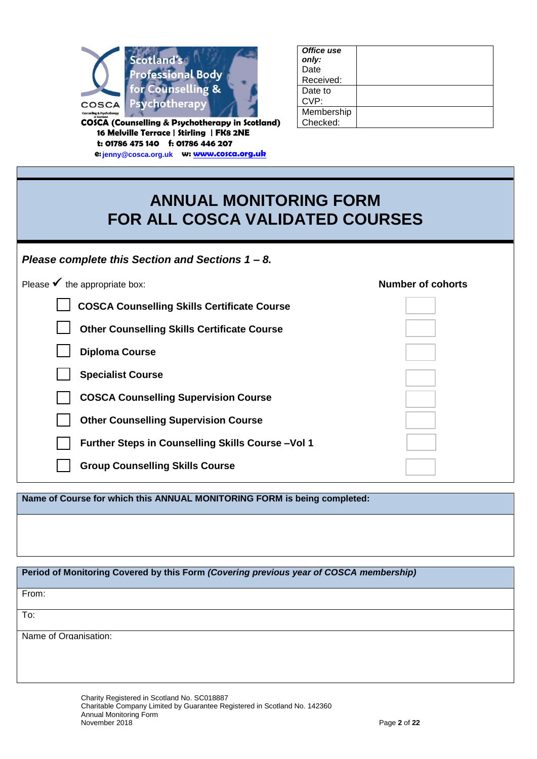

**COSCA (Counselling & Psychotherapy in Scotland) 16 Melville Terrace | Stirling | FK8 2NE t: 01786 475 140 f: 01786 446 207 e: [info@cosca.org.uk](mailto:info@cosca.org.uk) w: [www.cosca.org.uk](http://www.cosca.org.uk/) jenny@cosca.org.uk**

| Office use |  |
|------------|--|
| only:      |  |
| Date       |  |
| Received:  |  |
| Date to    |  |
| CVP:       |  |
| Membership |  |
| Checked:   |  |
|            |  |

# **ANNUAL MONITORING FORM FOR ALL COSCA VALIDATED COURSES**

| Please complete this Section and Sections 1 – 8. |  |
|--------------------------------------------------|--|
|--------------------------------------------------|--|

| Please $\checkmark$ the appropriate box:           | <b>Number of cohorts</b> |
|----------------------------------------------------|--------------------------|
| <b>COSCA Counselling Skills Certificate Course</b> |                          |
| <b>Other Counselling Skills Certificate Course</b> |                          |
| <b>Diploma Course</b>                              |                          |
| <b>Specialist Course</b>                           |                          |
| <b>COSCA Counselling Supervision Course</b>        |                          |
| <b>Other Counselling Supervision Course</b>        |                          |
| Further Steps in Counselling Skills Course-Vol 1   |                          |
| <b>Group Counselling Skills Course</b>             |                          |
|                                                    |                          |

**Name of Course for which this ANNUAL MONITORING FORM is being completed:**

| Period of Monitoring Covered by this Form (Covering previous year of COSCA membership) |  |
|----------------------------------------------------------------------------------------|--|
| From:                                                                                  |  |
| To:                                                                                    |  |
| Name of Organisation:                                                                  |  |
|                                                                                        |  |
|                                                                                        |  |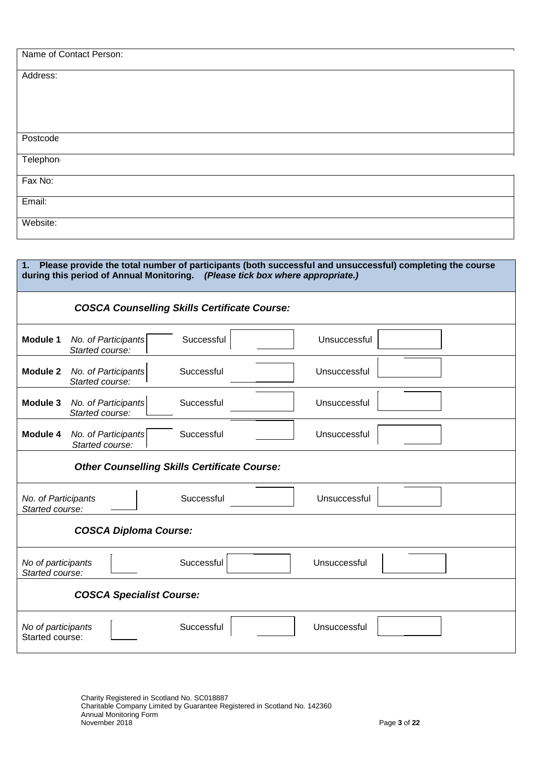| Name of Contact Person: |  |  |
|-------------------------|--|--|
| Address:                |  |  |
|                         |  |  |
|                         |  |  |
| Postcode                |  |  |
| Telephon                |  |  |
| Fax No:                 |  |  |
| Email:                  |  |  |
| Website:                |  |  |

| 1.                                     | Please provide the total number of participants (both successful and unsuccessful) completing the course<br>during this period of Annual Monitoring. (Please tick box where appropriate.) |
|----------------------------------------|-------------------------------------------------------------------------------------------------------------------------------------------------------------------------------------------|
|                                        | <b>COSCA Counselling Skills Certificate Course:</b>                                                                                                                                       |
| Module 1                               | Unsuccessful<br>Successful<br>No. of Participants<br>Started course:                                                                                                                      |
| Module 2                               | Unsuccessful<br>Successful<br>No. of Participants<br>Started course:                                                                                                                      |
| Module 3                               | Unsuccessful<br>No. of Participants<br>Successful<br>Started course:                                                                                                                      |
| Module 4                               | Successful<br>Unsuccessful<br>No. of Participants<br>Started course:                                                                                                                      |
|                                        | <b>Other Counselling Skills Certificate Course:</b>                                                                                                                                       |
| No. of Participants<br>Started course: | Successful<br>Unsuccessful                                                                                                                                                                |
|                                        | <b>COSCA Diploma Course:</b>                                                                                                                                                              |
| No of participants<br>Started course:  | Successful<br>Unsuccessful                                                                                                                                                                |
|                                        | <b>COSCA Specialist Course:</b>                                                                                                                                                           |
| No of participants<br>Started course:  | Successful<br>Unsuccessful                                                                                                                                                                |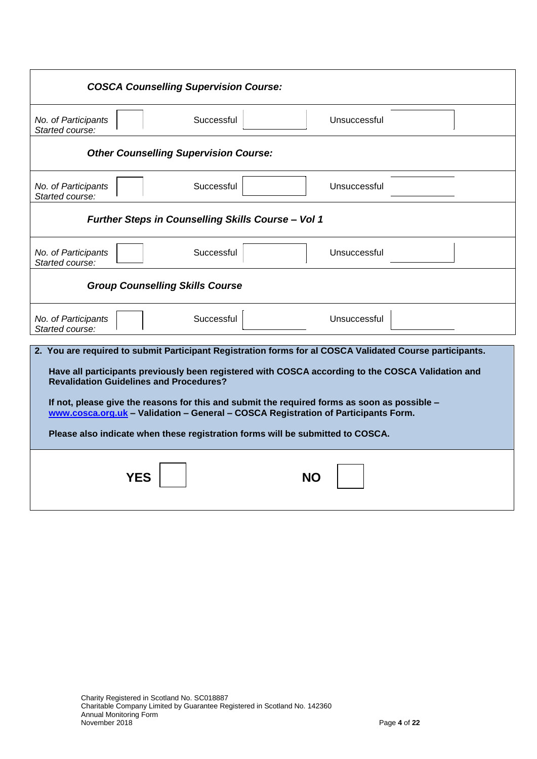|                                                | <b>COSCA Counselling Supervision Course:</b>              |                                                                                                                                                                                                                                                                                                                                                                                                                                                                                       |
|------------------------------------------------|-----------------------------------------------------------|---------------------------------------------------------------------------------------------------------------------------------------------------------------------------------------------------------------------------------------------------------------------------------------------------------------------------------------------------------------------------------------------------------------------------------------------------------------------------------------|
| No. of Participants<br>Started course:         | Successful                                                | Unsuccessful                                                                                                                                                                                                                                                                                                                                                                                                                                                                          |
|                                                | <b>Other Counselling Supervision Course:</b>              |                                                                                                                                                                                                                                                                                                                                                                                                                                                                                       |
| No. of Participants<br>Started course:         | Successful                                                | Unsuccessful                                                                                                                                                                                                                                                                                                                                                                                                                                                                          |
|                                                | <b>Further Steps in Counselling Skills Course - Vol 1</b> |                                                                                                                                                                                                                                                                                                                                                                                                                                                                                       |
| No. of Participants<br>Started course:         | Successful                                                | Unsuccessful                                                                                                                                                                                                                                                                                                                                                                                                                                                                          |
|                                                | <b>Group Counselling Skills Course</b>                    |                                                                                                                                                                                                                                                                                                                                                                                                                                                                                       |
| No. of Participants<br>Started course:         | Successful                                                | Unsuccessful                                                                                                                                                                                                                                                                                                                                                                                                                                                                          |
| <b>Revalidation Guidelines and Procedures?</b> |                                                           | 2. You are required to submit Participant Registration forms for al COSCA Validated Course participants.<br>Have all participants previously been registered with COSCA according to the COSCA Validation and<br>If not, please give the reasons for this and submit the required forms as soon as possible -<br>www.cosca.org.uk - Validation - General - COSCA Registration of Participants Form.<br>Please also indicate when these registration forms will be submitted to COSCA. |
| YES                                            |                                                           | NΟ                                                                                                                                                                                                                                                                                                                                                                                                                                                                                    |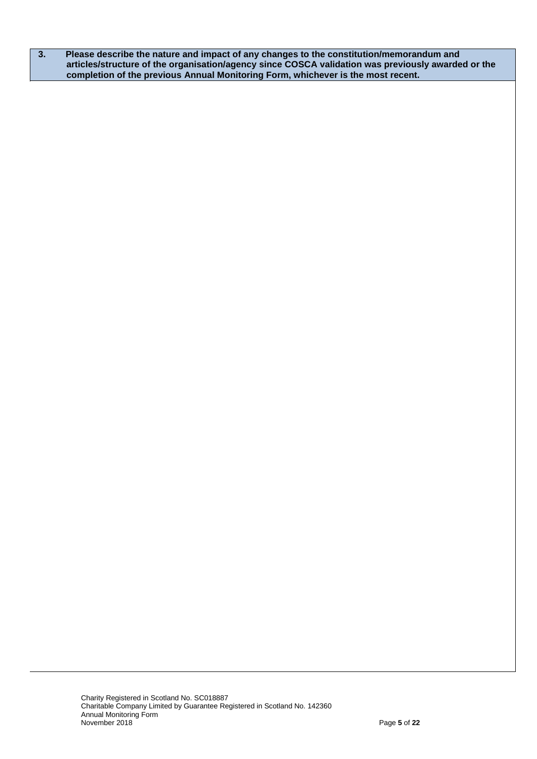**3. Please describe the nature and impact of any changes to the constitution/memorandum and articles/structure of the organisation/agency since COSCA validation was previously awarded or the completion of the previous Annual Monitoring Form, whichever is the most recent.**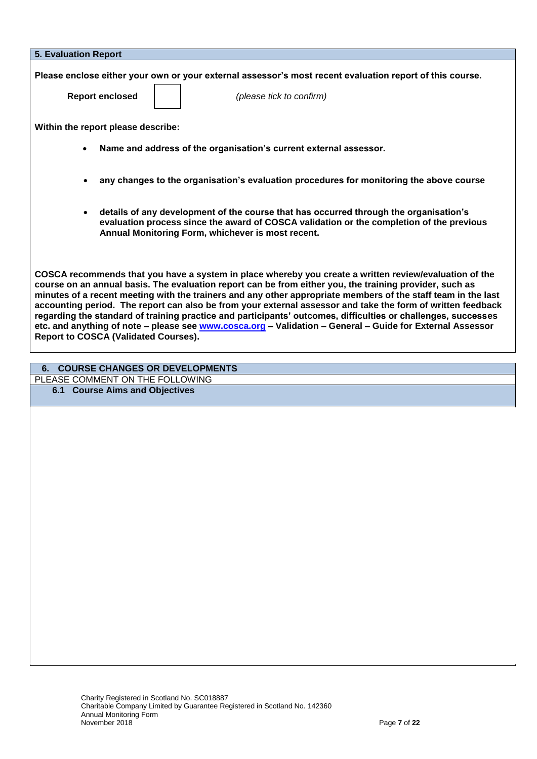| <b>5. Evaluation Report</b>                                                                                                                                                                                                                                                                                                                                                                                                                                                                                                                                                                                                                                                                                                    |
|--------------------------------------------------------------------------------------------------------------------------------------------------------------------------------------------------------------------------------------------------------------------------------------------------------------------------------------------------------------------------------------------------------------------------------------------------------------------------------------------------------------------------------------------------------------------------------------------------------------------------------------------------------------------------------------------------------------------------------|
| Please enclose either your own or your external assessor's most recent evaluation report of this course.<br><b>Report enclosed</b><br>(please tick to confirm)                                                                                                                                                                                                                                                                                                                                                                                                                                                                                                                                                                 |
| Within the report please describe:                                                                                                                                                                                                                                                                                                                                                                                                                                                                                                                                                                                                                                                                                             |
| Name and address of the organisation's current external assessor.<br>$\bullet$                                                                                                                                                                                                                                                                                                                                                                                                                                                                                                                                                                                                                                                 |
| any changes to the organisation's evaluation procedures for monitoring the above course                                                                                                                                                                                                                                                                                                                                                                                                                                                                                                                                                                                                                                        |
| details of any development of the course that has occurred through the organisation's<br>$\bullet$<br>evaluation process since the award of COSCA validation or the completion of the previous<br>Annual Monitoring Form, whichever is most recent.                                                                                                                                                                                                                                                                                                                                                                                                                                                                            |
| COSCA recommends that you have a system in place whereby you create a written review/evaluation of the<br>course on an annual basis. The evaluation report can be from either you, the training provider, such as<br>minutes of a recent meeting with the trainers and any other appropriate members of the staff team in the last<br>accounting period. The report can also be from your external assessor and take the form of written feedback<br>regarding the standard of training practice and participants' outcomes, difficulties or challenges, successes<br>etc. and anything of note - please see www.cosca.org - Validation - General - Guide for External Assessor<br><b>Report to COSCA (Validated Courses).</b> |

## **6. COURSE CHANGES OR DEVELOPMENTS**

PLEASE COMMENT ON THE FOLLOWING

**6.1 Course Aims and Objectives**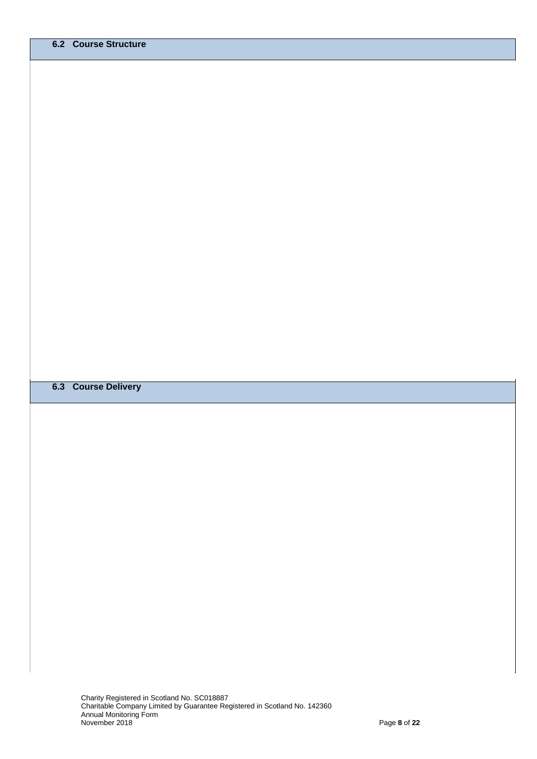#### **6.3 Course Delivery**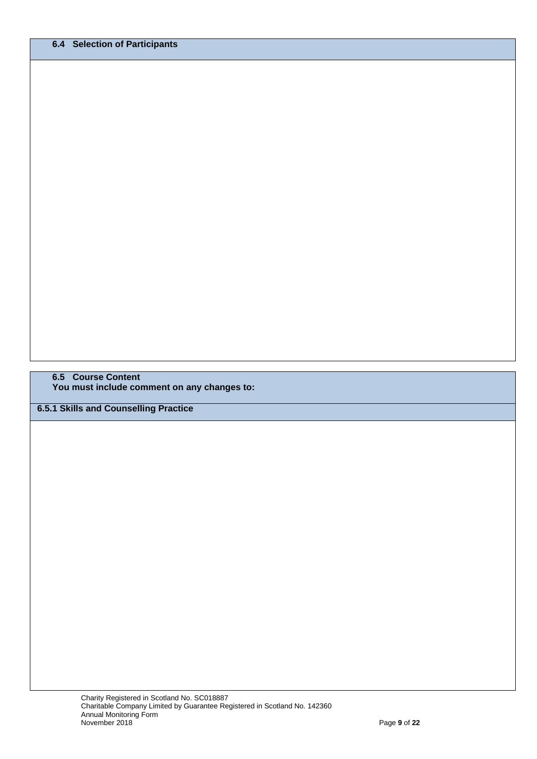**6.5 Course Content You must include comment on any changes to:**

**6.5.1 Skills and Counselling Practice**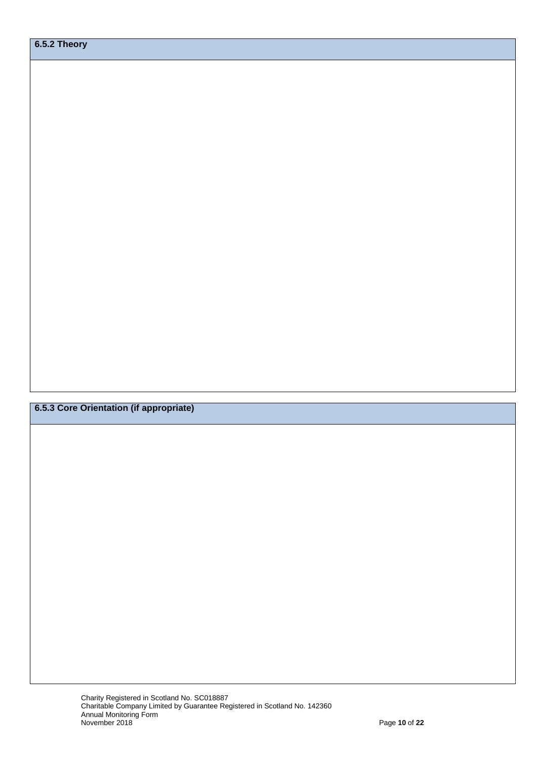**6.5.3 Core Orientation (if appropriate)**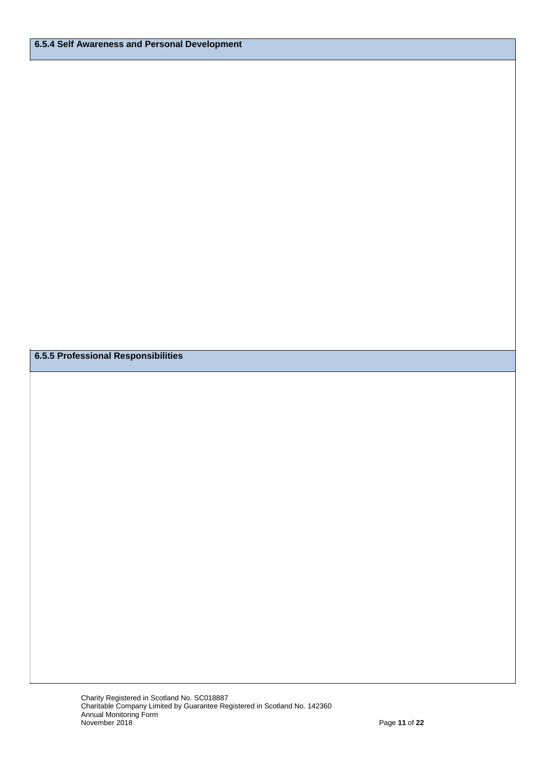**6.5.5 Professional Responsibilities**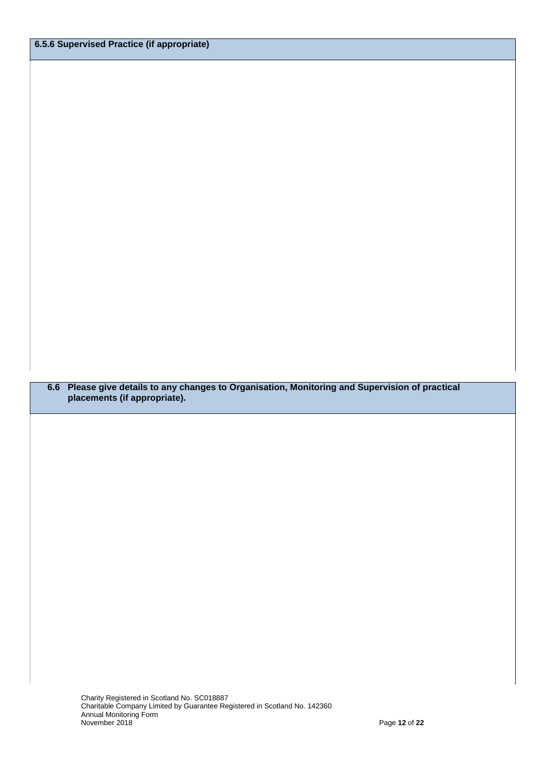**6.6 Please give details to any changes to Organisation, Monitoring and Supervision of practical placements (if appropriate).**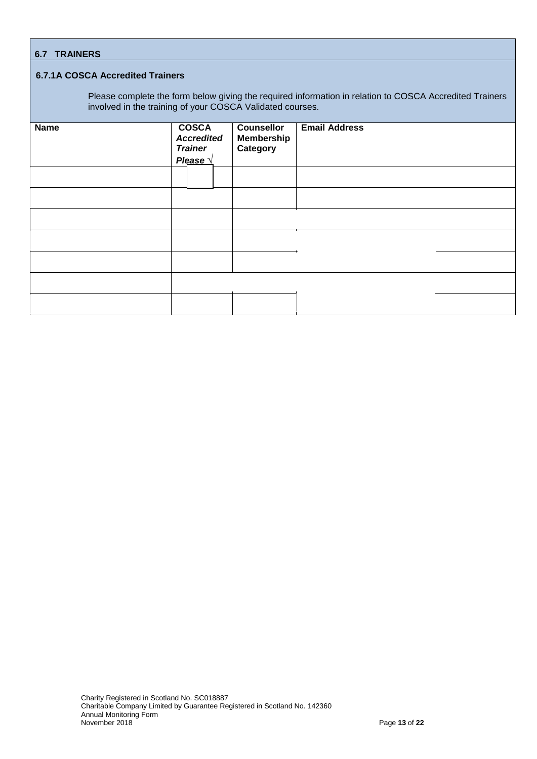#### **6.7.1A COSCA Accredited Trainers**

Please complete the form below giving the required information in relation to COSCA Accredited Trainers involved in the training of your COSCA Validated courses.

| <b>Name</b> | <b>COSCA</b><br><b>Accredited</b><br><b>Trainer</b><br>Please \ | <b>Counsellor</b><br><b>Membership</b><br>Category | <b>Email Address</b> |  |
|-------------|-----------------------------------------------------------------|----------------------------------------------------|----------------------|--|
|             |                                                                 |                                                    |                      |  |
|             |                                                                 |                                                    |                      |  |
|             |                                                                 |                                                    |                      |  |
|             |                                                                 |                                                    |                      |  |
|             |                                                                 |                                                    |                      |  |
|             |                                                                 |                                                    |                      |  |
|             |                                                                 |                                                    |                      |  |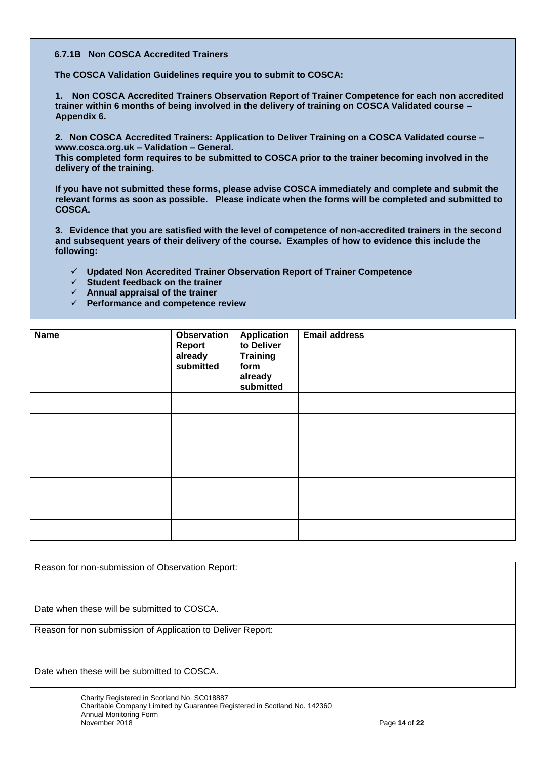#### **6.7.1B Non COSCA Accredited Trainers**

**The COSCA Validation Guidelines require you to submit to COSCA:**

**1. Non COSCA Accredited Trainers Observation Report of Trainer Competence for each non accredited trainer within 6 months of being involved in the delivery of training on COSCA Validated course – Appendix 6.**

**2. Non COSCA Accredited Trainers: Application to Deliver Training on a COSCA Validated course – www.cosca.org.uk – Validation – General.**

**This completed form requires to be submitted to COSCA prior to the trainer becoming involved in the delivery of the training.**

**If you have not submitted these forms, please advise COSCA immediately and complete and submit the relevant forms as soon as possible. Please indicate when the forms will be completed and submitted to COSCA.**

**3. Evidence that you are satisfied with the level of competence of non-accredited trainers in the second and subsequent years of their delivery of the course. Examples of how to evidence this include the following:**

- **Updated Non Accredited Trainer Observation Report of Trainer Competence**
- **Student feedback on the trainer**
- **Annual appraisal of the trainer**
- **Performance and competence review**

| <b>Name</b> | <b>Observation</b><br>Report<br>already<br>submitted | <b>Application</b><br>to Deliver<br><b>Training</b><br>form<br>already<br>submitted | <b>Email address</b> |
|-------------|------------------------------------------------------|-------------------------------------------------------------------------------------|----------------------|
|             |                                                      |                                                                                     |                      |
|             |                                                      |                                                                                     |                      |
|             |                                                      |                                                                                     |                      |
|             |                                                      |                                                                                     |                      |
|             |                                                      |                                                                                     |                      |
|             |                                                      |                                                                                     |                      |
|             |                                                      |                                                                                     |                      |

Reason for non-submission of Observation Report:

Date when these will be submitted to COSCA.

Reason for non submission of Application to Deliver Report:

Date when these will be submitted to COSCA.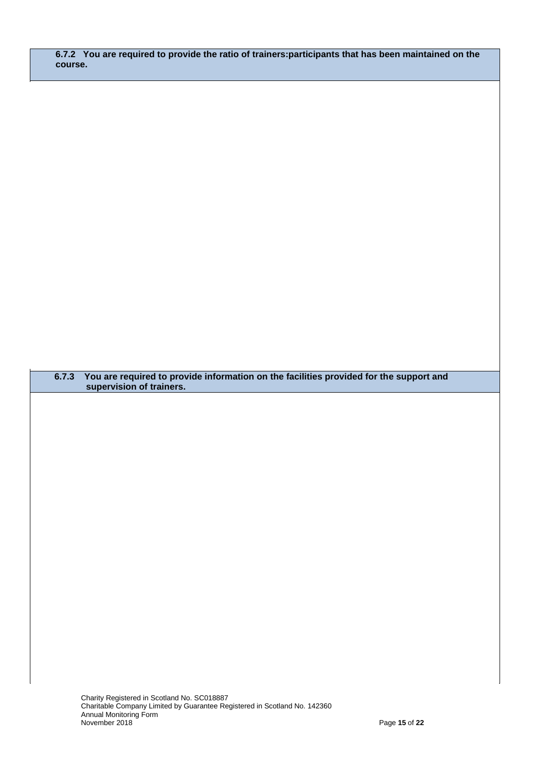**6.7.2 You are required to provide the ratio of trainers:participants that has been maintained on the course.**

**6.7.3 You are required to provide information on the facilities provided for the support and supervision of trainers.**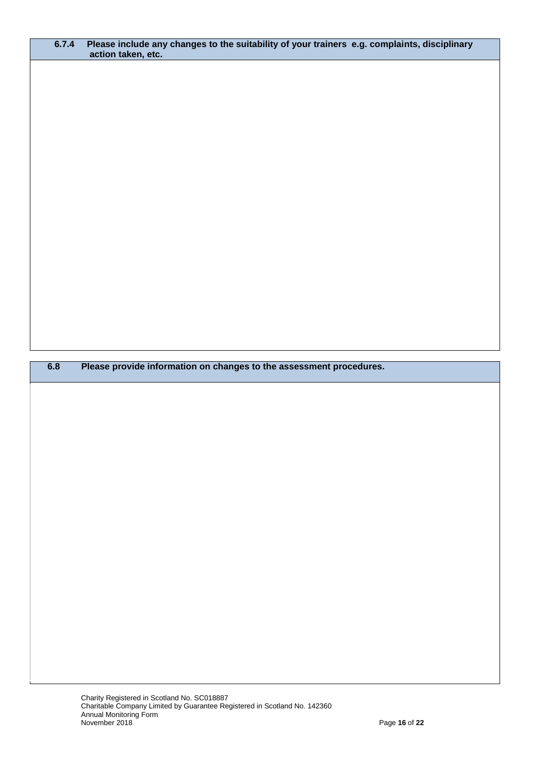| 6.7.4 | Please include any changes to the suitability of your trainers e.g. complaints, disciplinary<br>action taken, etc. |
|-------|--------------------------------------------------------------------------------------------------------------------|
|       |                                                                                                                    |
|       |                                                                                                                    |
|       |                                                                                                                    |
|       |                                                                                                                    |
|       |                                                                                                                    |
|       |                                                                                                                    |
|       |                                                                                                                    |
|       |                                                                                                                    |
|       |                                                                                                                    |
|       |                                                                                                                    |
|       |                                                                                                                    |
|       |                                                                                                                    |
|       |                                                                                                                    |
|       |                                                                                                                    |
|       |                                                                                                                    |
|       |                                                                                                                    |
|       |                                                                                                                    |
|       |                                                                                                                    |
|       |                                                                                                                    |
|       |                                                                                                                    |
| 6.8   | Please provide information on changes to the assessment procedures.                                                |
|       |                                                                                                                    |
|       |                                                                                                                    |
|       |                                                                                                                    |
|       |                                                                                                                    |
|       |                                                                                                                    |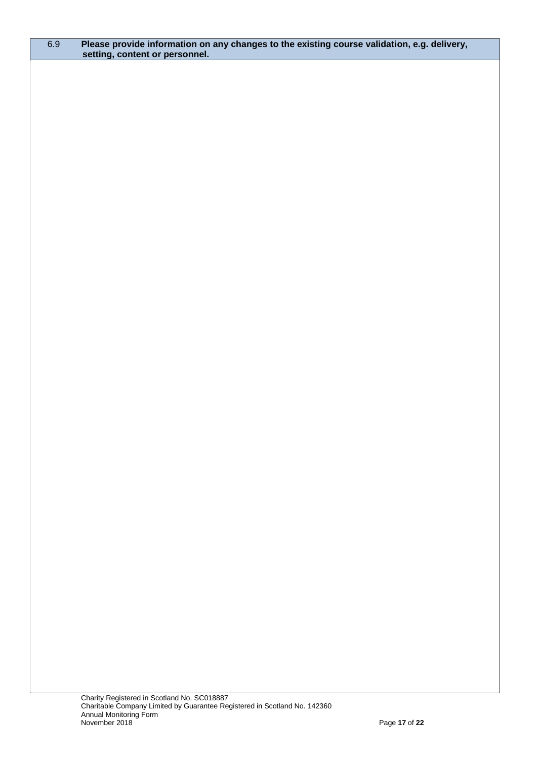#### 6.9 **Please provide information on any changes to the existing course validation, e.g. delivery, setting, content or personnel.**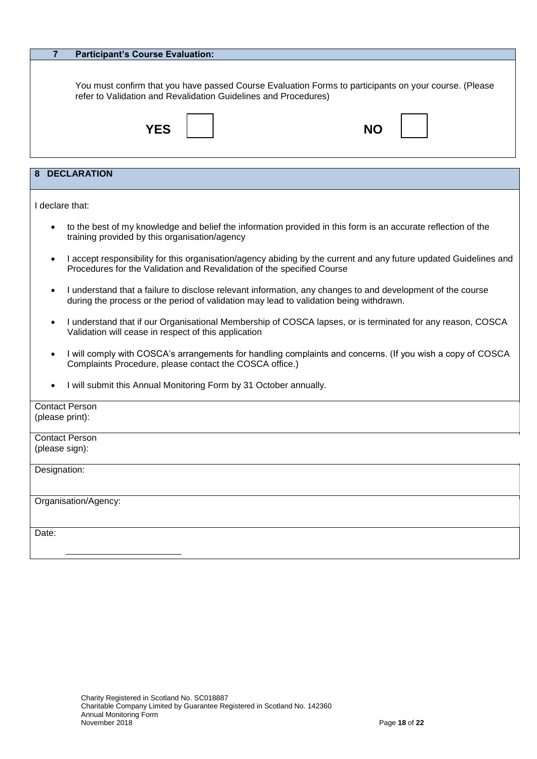|                 | <b>Participant's Course Evaluation:</b>                                                                                                                                                     |
|-----------------|---------------------------------------------------------------------------------------------------------------------------------------------------------------------------------------------|
|                 | You must confirm that you have passed Course Evaluation Forms to participants on your course. (Please<br>refer to Validation and Revalidation Guidelines and Procedures)                    |
|                 | YES<br>NΟ                                                                                                                                                                                   |
|                 | <b>DECLARATION</b>                                                                                                                                                                          |
|                 |                                                                                                                                                                                             |
| I declare that: |                                                                                                                                                                                             |
| $\bullet$       | to the best of my knowledge and belief the information provided in this form is an accurate reflection of the<br>training provided by this organisation/agency                              |
| ٠               | I accept responsibility for this organisation/agency abiding by the current and any future updated Guidelines and<br>Procedures for the Validation and Revalidation of the specified Course |
|                 | I understand that a failure to disclose relevant information, any changes to and development of the course                                                                                  |

- during the process or the period of validation may lead to validation being withdrawn.
- I understand that if our Organisational Membership of COSCA lapses, or is terminated for any reason, COSCA Validation will cease in respect of this application
- I will comply with COSCA's arrangements for handling complaints and concerns. (If you wish a copy of COSCA Complaints Procedure, please contact the COSCA office.)
- I will submit this Annual Monitoring Form by 31 October annually.

| <b>Contact Person</b> |
|-----------------------|
| (please print):       |
|                       |
| <b>Contact Person</b> |
| (please sign):        |
|                       |
| Designation:          |
|                       |
|                       |
| Organisation/Agency:  |
|                       |
|                       |
| Date:                 |
|                       |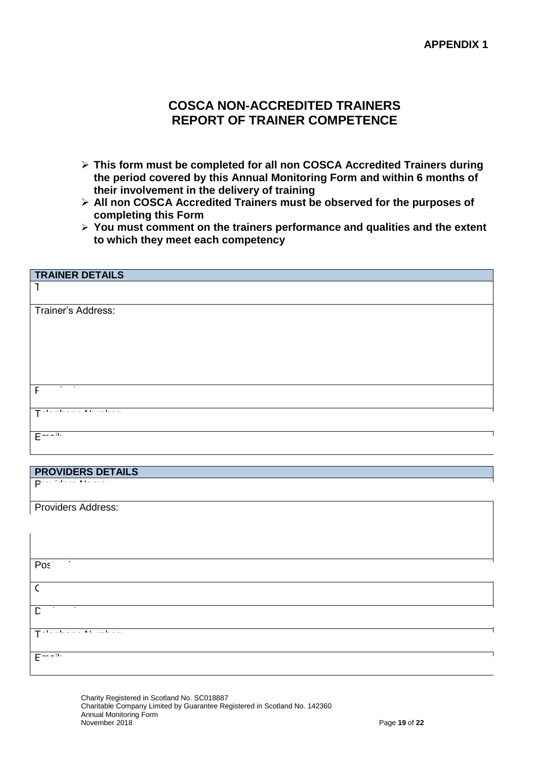## **COSCA NON-ACCREDITED TRAINERS REPORT OF TRAINER COMPETENCE**

- **This form must be completed for all non COSCA Accredited Trainers during the period covered by this Annual Monitoring Form and within 6 months of their involvement in the delivery of training**
- **All non COSCA Accredited Trainers must be observed for the purposes of completing this Form**
- **You must comment on the trainers performance and qualities and the extent to which they meet each competency**

| <b>TRAINER DETAILS</b>                                                               |
|--------------------------------------------------------------------------------------|
| ٦                                                                                    |
| Trainer's Address:                                                                   |
|                                                                                      |
|                                                                                      |
|                                                                                      |
| $\overline{\phantom{a}}$<br>F                                                        |
| $\mathbf{A} \cdot \mathbf{B}$ .<br>$\blacksquare$<br>T.<br>$\sim$ 10 $\pm$<br>$\sim$ |
| $\mathbf{H}$<br>E                                                                    |

#### **PROVIDERS DETAILS**

Providers Address:

Providers Name:

| $\sim$ 100 $\pm$<br>Post                                                |
|-------------------------------------------------------------------------|
|                                                                         |
|                                                                         |
| D                                                                       |
| $\mathbf{A} \cdot \mathbf{B}$ , and $\mathbf{B} \cdot \mathbf{B}$<br>л. |
| E<br>29.                                                                |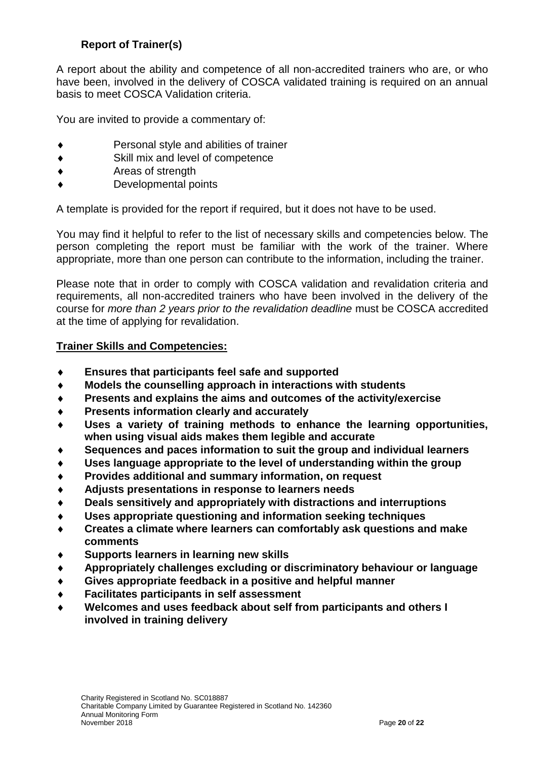## **Report of Trainer(s)**

A report about the ability and competence of all non-accredited trainers who are, or who have been, involved in the delivery of COSCA validated training is required on an annual basis to meet COSCA Validation criteria.

You are invited to provide a commentary of:

- Personal style and abilities of trainer
- Skill mix and level of competence
- Areas of strength
- Developmental points

A template is provided for the report if required, but it does not have to be used.

You may find it helpful to refer to the list of necessary skills and competencies below. The person completing the report must be familiar with the work of the trainer. Where appropriate, more than one person can contribute to the information, including the trainer.

Please note that in order to comply with COSCA validation and revalidation criteria and requirements, all non-accredited trainers who have been involved in the delivery of the course for *more than 2 years prior to the revalidation deadline* must be COSCA accredited at the time of applying for revalidation.

### **Trainer Skills and Competencies:**

- **Ensures that participants feel safe and supported**
- **Models the counselling approach in interactions with students**
- **Presents and explains the aims and outcomes of the activity/exercise**
- **Presents information clearly and accurately**
- **Uses a variety of training methods to enhance the learning opportunities, when using visual aids makes them legible and accurate**
- **Sequences and paces information to suit the group and individual learners**
- **Uses language appropriate to the level of understanding within the group**
- **Provides additional and summary information, on request**
- **Adjusts presentations in response to learners needs**
- **Deals sensitively and appropriately with distractions and interruptions**
- **Uses appropriate questioning and information seeking techniques**
- **Creates a climate where learners can comfortably ask questions and make comments**
- **Supports learners in learning new skills**
- **Appropriately challenges excluding or discriminatory behaviour or language**
- **Gives appropriate feedback in a positive and helpful manner**
- **Facilitates participants in self assessment**
- **Welcomes and uses feedback about self from participants and others I involved in training delivery**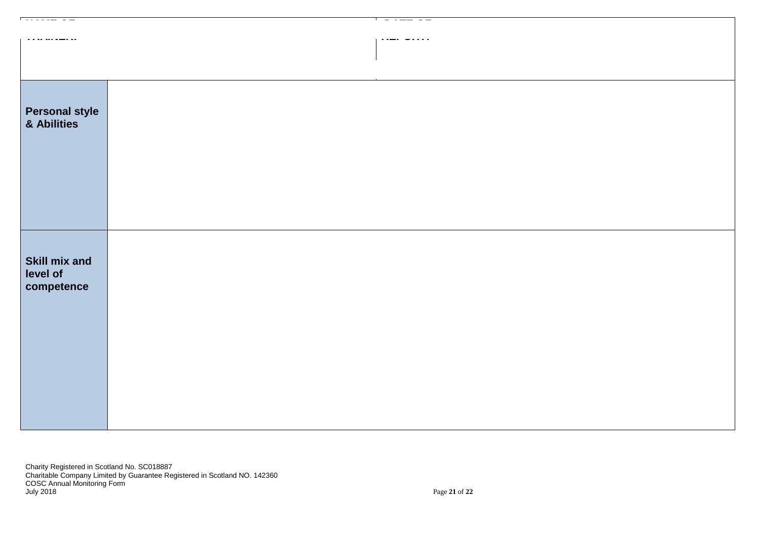| . <u>. .</u>                                   | $-1$ |
|------------------------------------------------|------|
|                                                |      |
| <b>Personal style<br/>&amp; Abilities</b>      |      |
| <b>Skill mix and</b><br>level of<br>competence |      |

Charity Registered in Scotland No. SC018887 Charitable Company Limited by Guarantee Registered in Scotland NO. 142360 COSC Annual Monitoring Form July 2018 Page **21** of **22**